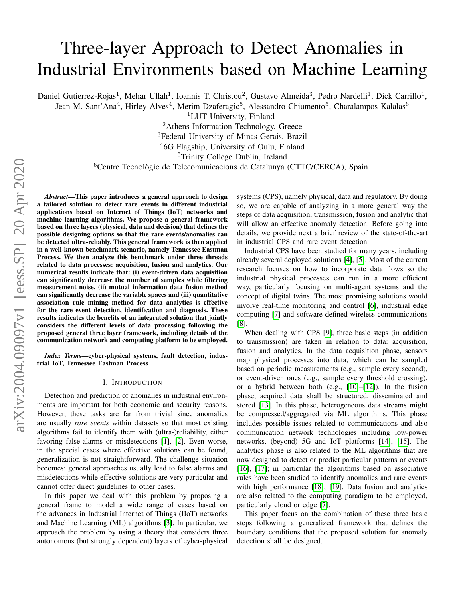# Three-layer Approach to Detect Anomalies in Industrial Environments based on Machine Learning

Daniel Gutierrez-Rojas<sup>1</sup>, Mehar Ullah<sup>1</sup>, Ioannis T. Christou<sup>2</sup>, Gustavo Almeida<sup>3</sup>, Pedro Nardelli<sup>1</sup>, Dick Carrillo<sup>1</sup>,

Jean M. Sant'Ana<sup>4</sup>, Hirley Alves<sup>4</sup>, Merim Dzaferagic<sup>5</sup>, Alessandro Chiumento<sup>5</sup>, Charalampos Kalalas<sup>6</sup>

<sup>1</sup>LUT University, Finland

<sup>2</sup>Athens Information Technology, Greece

<sup>3</sup>Federal University of Minas Gerais, Brazil

<sup>4</sup>6G Flagship, University of Oulu, Finland

<sup>5</sup>Trinity College Dublin, Ireland

<sup>6</sup>Centre Tecnològic de Telecomunicacions de Catalunya (CTTC/CERCA), Spain

*Abstract*—This paper introduces a general approach to design a tailored solution to detect rare events in different industrial applications based on Internet of Things (IoT) networks and machine learning algorithms. We propose a general framework based on three layers (physical, data and decision) that defines the possible designing options so that the rare events/anomalies can be detected ultra-reliably. This general framework is then applied in a well-known benchmark scenario, namely Tennessee Eastman Process. We then analyze this benchmark under three threads related to data processes: acquisition, fusion and analytics. Our numerical results indicate that: (i) event-driven data acquisition can significantly decrease the number of samples while filtering measurement noise, (ii) mutual information data fusion method can significantly decrease the variable spaces and (iii) quantitative association rule mining method for data analytics is effective for the rare event detection, identification and diagnosis. These results indicates the benefits of an integrated solution that jointly considers the different levels of data processing following the proposed general three layer framework, including details of the communication network and computing platform to be employed.

*Index Terms*—cyber-physical systems, fault detection, industrial IoT, Tennessee Eastman Process

#### I. INTRODUCTION

Detection and prediction of anomalies in industrial environments are important for both economic and security reasons. However, these tasks are far from trivial since anomalies are usually *rare events* within datasets so that most existing algorithms fail to identify them with (ultra-)reliability, either favoring false-alarms or misdetections [\[1\]](#page-5-0), [\[2\]](#page-5-1). Even worse, in the special cases where effective solutions can be found, generalization is not straightforward. The challenge situation becomes: general approaches usually lead to false alarms and misdetections while effective solutions are very particular and cannot offer direct guidelines to other cases.

In this paper we deal with this problem by proposing a general frame to model a wide range of cases based on the advances in Industrial Internet of Things (IIoT) networks and Machine Learning (ML) algorithms [\[3\]](#page-5-2). In particular, we approach the problem by using a theory that considers three autonomous (but strongly dependent) layers of cyber-physical systems (CPS), namely physical, data and regulatory. By doing so, we are capable of analyzing in a more general way the steps of data acquisition, transmission, fusion and analytic that will allow an effective anomaly detection. Before going into details, we provide next a brief review of the state-of-the-art in industrial CPS and rare event detection.

Industrial CPS have been studied for many years, including already several deployed solutions [\[4\]](#page-5-3), [\[5\]](#page-6-0). Most of the current research focuses on how to incorporate data flows so the industrial physical processes can run in a more efficient way, particularly focusing on multi-agent systems and the concept of digital twins. The most promising solutions would involve real-time monitoring and control [\[6\]](#page-6-1), industrial edge computing [\[7\]](#page-6-2) and software-defined wireless communications [\[8\]](#page-6-3).

When dealing with CPS [\[9\]](#page-6-4), three basic steps (in addition to transmission) are taken in relation to data: acquisition, fusion and analytics. In the data acquisition phase, sensors map physical processes into data, which can be sampled based on periodic measurements (e.g., sample every second), or event-driven ones (e.g., sample every threshold crossing), or a hybrid between both (e.g., [\[10\]](#page-6-5)–[\[12\]](#page-6-6)). In the fusion phase, acquired data shall be structured, disseminated and stored [\[13\]](#page-6-7). In this phase, heterogeneous data streams might be compressed/aggregated via ML algorithms. This phase includes possible issues related to communications and also communication network technologies including low-power networks, (beyond) 5G and IoT platforms [\[14\]](#page-6-8), [\[15\]](#page-6-9). The analytics phase is also related to the ML algorithms that are now designed to detect or predict particular patterns or events [\[16\]](#page-6-10), [\[17\]](#page-6-11); in particular the algorithms based on associative rules have been studied to identify anomalies and rare events with high performance [\[18\]](#page-6-12), [\[19\]](#page-6-13). Data fusion and analytics are also related to the computing paradigm to be employed, particularly cloud or edge [\[7\]](#page-6-2).

This paper focus on the combination of these three basic steps following a generalized framework that defines the boundary conditions that the proposed solution for anomaly detection shall be designed.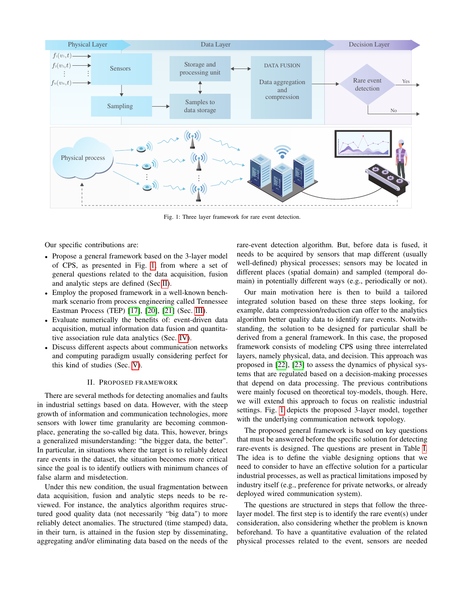<span id="page-1-0"></span>

Fig. 1: Three layer framework for rare event detection.

Our specific contributions are:

- ' Propose a general framework based on the 3-layer model of CPS, as presented in Fig. [1,](#page-1-0) from where a set of general questions related to the data acquisition, fusion and analytic steps are defined (Sec[.II\)](#page-1-1).
- ' Employ the proposed framework in a well-known benchmark scenario from process engineering called Tennessee Eastman Process (TEP) [\[17\]](#page-6-11), [\[20\]](#page-6-14), [\[21\]](#page-6-15) (Sec. [III\)](#page-2-0).
- ' Evaluate numerically the benefits of: event-driven data acquisition, mutual information data fusion and quantitative association rule data analytics (Sec. [IV\)](#page-2-1).
- ' Discuss different aspects about communication networks and computing paradigm usually considering perfect for this kind of studies (Sec. [V\)](#page-4-0).

#### II. PROPOSED FRAMEWORK

<span id="page-1-1"></span>There are several methods for detecting anomalies and faults in industrial settings based on data. However, with the steep growth of information and communication technologies, more sensors with lower time granularity are becoming commonplace, generating the so-called big data. This, however, brings a generalized misunderstanding: "the bigger data, the better". In particular, in situations where the target is to reliably detect rare events in the dataset, the situation becomes more critical since the goal is to identify outliers with minimum chances of false alarm and misdetection.

Under this new condition, the usual fragmentation between data acquisition, fusion and analytic steps needs to be reviewed. For instance, the analytics algorithm requires structured good quality data (not necessarily "big data") to more reliably detect anomalies. The structured (time stamped) data, in their turn, is attained in the fusion step by disseminating, aggregating and/or eliminating data based on the needs of the rare-event detection algorithm. But, before data is fused, it needs to be acquired by sensors that map different (usually well-defined) physical processes; sensors may be located in different places (spatial domain) and sampled (temporal domain) in potentially different ways (e.g., periodically or not).

Our main motivation here is then to build a tailored integrated solution based on these three steps looking, for example, data compression/reduction can offer to the analytics algorithm better quality data to identify rare events. Notwithstanding, the solution to be designed for particular shall be derived from a general framework. In this case, the proposed framework consists of modeling CPS using three interrelated layers, namely physical, data, and decision. This approach was proposed in [\[22\]](#page-6-16), [\[23\]](#page-6-17) to assess the dynamics of physical systems that are regulated based on a decision-making processes that depend on data processing. The previous contributions were mainly focused on theoretical toy-models, though. Here, we will extend this approach to focus on realistic industrial settings. Fig. [1](#page-1-0) depicts the proposed 3-layer model, together with the underlying communication network topology.

The proposed general framework is based on key questions that must be answered before the specific solution for detecting rare-events is designed. The questions are present in Table [I.](#page-2-2) The idea is to define the viable designing options that we need to consider to have an effective solution for a particular industrial processes, as well as practical limitations imposed by industry itself (e.g., preference for private networks, or already deployed wired communication system).

The questions are structured in steps that follow the threelayer model. The first step is to identify the rare event(s) under consideration, also considering whether the problem is known beforehand. To have a quantitative evaluation of the related physical processes related to the event, sensors are needed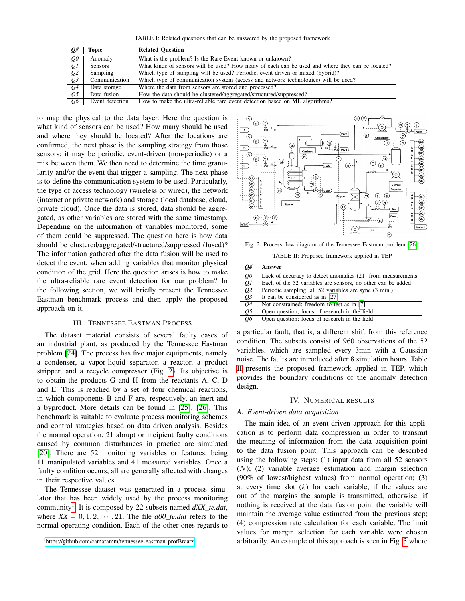TABLE I: Related questions that can be answered by the proposed framework

<span id="page-2-2"></span>

| $Q\#$                  | <b>Topic</b>    | <b>Related Ouestion</b>                                                                         |
|------------------------|-----------------|-------------------------------------------------------------------------------------------------|
| $\overline{\varrho o}$ | Anomaly         | What is the problem? Is the Rare Event known or unknown?                                        |
| $\overline{QI}$        | <b>Sensors</b>  | What kinds of sensors will be used? How many of each can be used and where they can be located? |
| $\overline{Q2}$        | Sampling        | Which type of sampling will be used? Periodic, event driven or mixed (hybrid)?                  |
| $\overline{Q3}$        | Communication   | Which type of communication system (access and network technologies) will be used?              |
| Q4                     | Data storage    | Where the data from sensors are stored and processed?                                           |
| Q5                     | Data fusion     | How the data should be clustered/aggregated/structured/suppressed?                              |
| $\overline{06}$        | Event detection | How to make the ultra-reliable rare event detection based on ML algorithms?                     |

to map the physical to the data layer. Here the question is what kind of sensors can be used? How many should be used and where they should be located? After the locations are confirmed, the next phase is the sampling strategy from those sensors: it may be periodic, event-driven (non-periodic) or a mix between them. We then need to determine the time granularity and/or the event that trigger a sampling. The next phase is to define the communication system to be used. Particularly, the type of access technology (wireless or wired), the network (internet or private network) and storage (local database, cloud, private cloud). Once the data is stored, data should be aggregated, as other variables are stored with the same timestamp. Depending on the information of variables monitored, some of them could be suppressed. The question here is how data should be clustered/aggregated/structured/suppressed (fused)? The information gathered after the data fusion will be used to detect the event, when adding variables that monitor physical condition of the grid. Here the question arises is how to make the ultra-reliable rare event detection for our problem? In the following section, we will briefly present the Tennessee Eastman benchmark process and then apply the proposed approach on it.

#### III. TENNESSEE EASTMAN PROCESS

<span id="page-2-0"></span>The dataset material consists of several faulty cases of an industrial plant, as produced by the Tennessee Eastman problem [\[24\]](#page-6-18). The process has five major equipments, namely a condenser, a vapor-liquid separator, a reactor, a product stripper, and a recycle compressor (Fig. [2\)](#page-2-3). Its objective is to obtain the products G and H from the reactants A, C, D and E. This is reached by a set of four chemical reactions, in which components B and F are, respectively, an inert and a byproduct. More details can be found in [\[25\]](#page-6-19), [\[26\]](#page-6-20). This benchmark is suitable to evaluate process monitoring schemes and control strategies based on data driven analysis. Besides the normal operation, 21 abrupt or incipient faulty conditions caused by common disturbances in practice are simulated [\[20\]](#page-6-14). There are 52 monitoring variables or features, being 11 manipulated variables and 41 measured variables. Once a faulty condition occurs, all are generally affected with changes in their respective values.

The Tennessee dataset was generated in a process simulator that has been widely used by the process monitoring community<sup>[1](#page-2-4)</sup>. It is composed by 22 subsets named  $dXX_{\_}te.dat$ , where  $XX = 0, 1, 2, \dots, 21$ . The file  $d00$ \_te.dat refers to the normal operating condition. Each of the other ones regards to

<span id="page-2-4"></span><sup>1</sup><https://github.com/camaramm/tennessee-eastman-profBraatz>

<span id="page-2-3"></span>

<span id="page-2-5"></span>Fig. 2: Process flow diagram of the Tennessee Eastman problem [\[26\]](#page-6-20).

TABLE II: Proposed framework applied in TEP

| Q#                         | Answer                                                      |
|----------------------------|-------------------------------------------------------------|
| Q <sub>0</sub>             | Lack of accuracy to detect anomalies (21) from measurements |
| $\overline{QI}$            | Each of the 52 variables are sensors, no other can be added |
| $\overline{Q2}$            | Periodic sampling; all 52 variables are sync (3 min.)       |
| $\overline{Q3}$            | It can be considered as in [27]                             |
| Q <sub>4</sub>             | Not constrained; freedom to test as in [7]                  |
| $\overline{\mathcal{Q}^5}$ | Open question; focus of research in the field               |
| $\overline{Q}6$            | Open question; focus of research in the field               |

a particular fault, that is, a different shift from this reference condition. The subsets consist of 960 observations of the 52 variables, which are sampled every 3min with a Gaussian noise. The faults are introduced after 8 simulation hours. Table [II](#page-2-5) presents the proposed framework applied in TEP, which provides the boundary conditions of the anomaly detection design.

#### IV. NUMERICAL RESULTS

#### <span id="page-2-1"></span>*A. Event-driven data acquisition*

The main idea of an event-driven approach for this application is to perform data compression in order to transmit the meaning of information from the data acquisition point to the data fusion point. This approach can be described using the following steps: (1) input data from all 52 sensors  $(N)$ ; (2) variable average estimation and margin selection (90% of lowest/highest values) from normal operation; (3) at every time slot  $(k)$  for each variable, if the values are out of the margins the sample is transmitted, otherwise, if nothing is received at the data fusion point the variable will maintain the average value estimated from the previous step; (4) compression rate calculation for each variable. The limit values for margin selection for each variable were chosen arbitrarily. An example of this approach is seen in Fig. [3](#page-3-0) where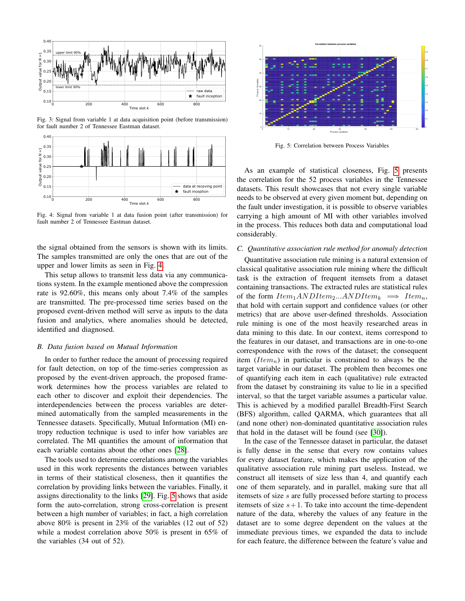<span id="page-3-0"></span>

Fig. 3: Signal from variable 1 at data acquisition point (before transmission) for fault number 2 of Tennessee Eastman dataset.



Fig. 4: Signal from variable 1 at data fusion point (after transmission) for fault number 2 of Tennessee Eastman dataset.

the signal obtained from the sensors is shown with its limits. The samples transmitted are only the ones that are out of the upper and lower limits as seen in Fig. [4.](#page-3-0)

This setup allows to transmit less data via any communications system. In the example mentioned above the compression rate is 92.60%, this means only about 7.4% of the samples are transmitted. The pre-processed time series based on the proposed event-driven method will serve as inputs to the data fusion and analytics, where anomalies should be detected, identified and diagnosed.

## *B. Data fusion based on Mutual Information*

In order to further reduce the amount of processing required for fault detection, on top of the time-series compression as proposed by the event-driven approach, the proposed framework determines how the process variables are related to each other to discover and exploit their dependencies. The interdependencies between the process variables are determined automatically from the sampled measurements in the Tennessee datasets. Specifically, Mutual Information (MI) entropy reduction technique is used to infer how variables are correlated. The MI quantifies the amount of information that each variable contains about the other ones [\[28\]](#page-6-22).

The tools used to determine correlations among the variables used in this work represents the distances between variables in terms of their statistical closeness, then it quantifies the correlation by providing links between the variables. Finally, it assigns directionality to the links [\[29\]](#page-6-23). Fig. [5](#page-3-1) shows that aside form the auto-correlation, strong cross-correlation is present between a high number of variables; in fact, a high correlation above 80% is present in 23% of the variables (12 out of 52) while a modest correlation above 50% is present in 65% of the variables (34 out of 52).

<span id="page-3-1"></span>

Fig. 5: Correlation between Process Variables

As an example of statistical closeness, Fig. [5](#page-3-1) presents the correlation for the 52 process variables in the Tennessee datasets. This result showcases that not every single variable needs to be observed at every given moment but, depending on the fault under investigation, it is possible to observe variables carrying a high amount of MI with other variables involved in the process. This reduces both data and computational load considerably.

#### *C. Quantitative association rule method for anomaly detection*

Quantitative association rule mining is a natural extension of classical qualitative association rule mining where the difficult task is the extraction of frequent itemsets from a dataset containing transactions. The extracted rules are statistical rules of the form  $Item_1ANDItem_2...ANDItem_k \implies Item_n$ , that hold with certain support and confidence values (or other metrics) that are above user-defined thresholds. Association rule mining is one of the most heavily researched areas in data mining to this date. In our context, items correspond to the features in our dataset, and transactions are in one-to-one correspondence with the rows of the dataset; the consequent item  $(Item_n)$  in particular is constrained to always be the target variable in our dataset. The problem then becomes one of quantifying each item in each (qualitative) rule extracted from the dataset by constraining its value to lie in a specified interval, so that the target variable assumes a particular value. This is achieved by a modified parallel Breadth-First Search (BFS) algorithm, called QARMA, which guarantees that all (and none other) non-dominated quantitative association rules that hold in the dataset will be found (see [\[30\]](#page-6-24)).

In the case of the Tennessee dataset in particular, the dataset is fully dense in the sense that every row contains values for every dataset feature, which makes the application of the qualitative association rule mining part useless. Instead, we construct all itemsets of size less than 4, and quantify each one of them separately, and in parallel, making sure that all itemsets of size s are fully processed before starting to process itemsets of size  $s+1$ . To take into account the time-dependent nature of the data, whereby the values of any feature in the dataset are to some degree dependent on the values at the immediate previous times, we expanded the data to include for each feature, the difference between the feature's value and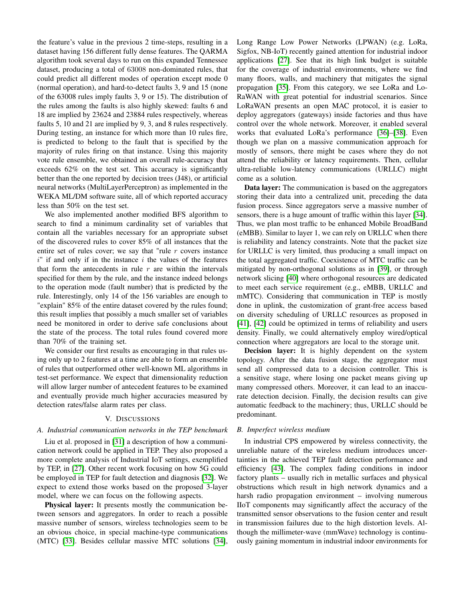the feature's value in the previous 2 time-steps, resulting in a dataset having 156 different fully dense features. The QARMA algorithm took several days to run on this expanded Tennessee dataset, producing a total of 63008 non-dominated rules, that could predict all different modes of operation except mode 0 (normal operation), and hard-to-detect faults 3, 9 and 15 (none of the 63008 rules imply faults 3, 9 or 15). The distribution of the rules among the faults is also highly skewed: faults 6 and 18 are implied by 23624 and 23884 rules respectively, whereas faults 5, 10 and 21 are implied by 9, 3, and 8 rules respectively. During testing, an instance for which more than 10 rules fire, is predicted to belong to the fault that is specified by the majority of rules firing on that instance. Using this majority vote rule ensemble, we obtained an overall rule-accuracy that exceeds 62% on the test set. This accuracy is significantly better than the one reported by decision trees (J48), or artificial neural networks (MultiLayerPerceptron) as implemented in the WEKA ML/DM software suite, all of which reported accuracy less than 50% on the test set.

We also implemented another modified BFS algorithm to search to find a minimum cardinality set of variables that contain all the variables necessary for an appropriate subset of the discovered rules to cover 85% of all instances that the entire set of rules cover; we say that "rule  $r$  covers instance  $i'$  if and only if in the instance i the values of the features that form the antecedents in rule  $r$  are within the intervals specified for them by the rule, and the instance indeed belongs to the operation mode (fault number) that is predicted by the rule. Interestingly, only 14 of the 156 variables are enough to "explain" 85% of the entire dataset covered by the rules found; this result implies that possibly a much smaller set of variables need be monitored in order to derive safe conclusions about the state of the process. The total rules found covered more than 70% of the training set.

We consider our first results as encouraging in that rules using only up to 2 features at a time are able to form an ensemble of rules that outperformed other well-known ML algorithms in test-set performance. We expect that dimensionality reduction will allow larger number of antecedent features to be examined and eventually provide much higher accuracies measured by detection rates/false alarm rates per class.

#### V. DISCUSSIONS

## <span id="page-4-0"></span>*A. Industrial communication networks in the TEP benchmark*

Liu et al. proposed in [\[31\]](#page-6-25) a description of how a communication network could be applied in TEP. They also proposed a more complete analysis of Industrial IoT settings, exemplified by TEP, in [\[27\]](#page-6-21). Other recent work focusing on how 5G could be employed in TEP for fault detection and diagnosis [\[32\]](#page-6-26). We expect to extend those works based on the proposed 3-layer model, where we can focus on the following aspects.

Physical layer: It presents mostly the communication between sensors and aggregators. In order to reach a possible massive number of sensors, wireless technologies seem to be an obvious choice, in special machine-type communications (MTC) [\[33\]](#page-6-27). Besides cellular massive MTC solutions [\[34\]](#page-6-28), Long Range Low Power Networks (LPWAN) (e.g. LoRa, Sigfox, NB-IoT) recently gained attention for industrial indoor applications [\[27\]](#page-6-21). See that its high link budget is suitable for the coverage of industrial environments, where we find many floors, walls, and machinery that mitigates the signal propagation [\[35\]](#page-6-29). From this category, we see LoRa and Lo-RaWAN with great potential for industrial scenarios. Since LoRaWAN presents an open MAC protocol, it is easier to deploy aggregators (gateways) inside factories and thus have control over the whole network. Moreover, it enabled several works that evaluated LoRa's performance [\[36\]](#page-6-30)–[\[38\]](#page-6-31). Even though we plan on a massive communication approach for mostly of sensors, there might be cases where they do not attend the reliability or latency requirements. Then, cellular ultra-reliable low-latency communications (URLLC) might come as a solution.

Data layer: The communication is based on the aggregators storing their data into a centralized unit, preceding the data fusion process. Since aggregators serve a massive number of sensors, there is a huge amount of traffic within this layer [\[34\]](#page-6-28). Thus, we plan most traffic to be enhanced Mobile BroadBand (eMBB). Similar to layer 1, we can rely on URLLC when there is reliability and latency constraints. Note that the packet size for URLLC is very limited, thus producing a small impact on the total aggregated traffic. Coexistence of MTC traffic can be mitigated by non-orthogonal solutions as in [\[39\]](#page-6-32), or through network slicing [\[40\]](#page-6-33) where orthogonal resources are dedicated to meet each service requirement (e.g., eMBB, URLLC and mMTC). Considering that communication in TEP is mostly done in uplink, the customization of grant-free access based on diversity scheduling of URLLC resources as proposed in [\[41\]](#page-6-34), [\[42\]](#page-6-35) could be optimized in terms of reliability and users density. Finally, we could alternatively employ wired/optical connection where aggregators are local to the storage unit.

Decision layer: It is highly dependent on the system topology. After the data fusion stage, the aggregator must send all compressed data to a decision controller. This is a sensitive stage, where losing one packet means giving up many compressed others. Moreover, it can lead to an inaccurate detection decision. Finally, the decision results can give automatic feedback to the machinery; thus, URLLC should be predominant.

### *B. Imperfect wireless medium*

In industrial CPS empowered by wireless connectivity, the unreliable nature of the wireless medium introduces uncertainties in the achieved TEP fault detection performance and efficiency [\[43\]](#page-6-36). The complex fading conditions in indoor factory plants – usually rich in metallic surfaces and physical obstructions which result in high network dynamics and a harsh radio propagation environment – involving numerous IIoT components may significantly affect the accuracy of the transmitted sensor observations to the fusion center and result in transmission failures due to the high distortion levels. Although the millimeter-wave (mmWave) technology is continuously gaining momentum in industrial indoor environments for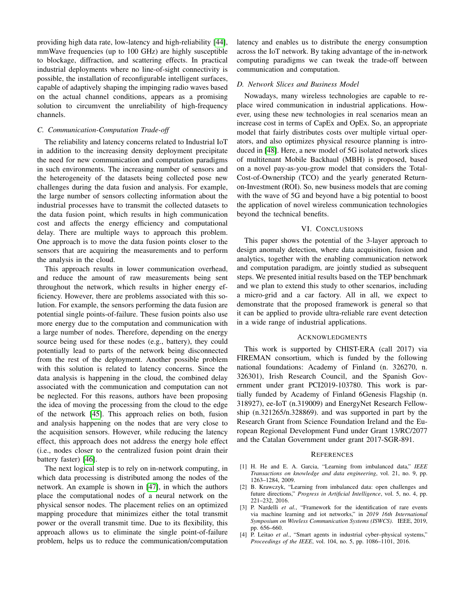providing high data rate, low-latency and high-reliability [\[44\]](#page-6-37), mmWave frequencies (up to 100 GHz) are highly susceptible to blockage, diffraction, and scattering effects. In practical industrial deployments where no line-of-sight connectivity is possible, the installation of reconfigurable intelligent surfaces, capable of adaptively shaping the impinging radio waves based on the actual channel conditions, appears as a promising solution to circumvent the unreliability of high-frequency channels.

## *C. Communication-Computation Trade-off*

The reliability and latency concerns related to Industrial IoT in addition to the increasing density deployment precipitate the need for new communication and computation paradigms in such environments. The increasing number of sensors and the heterogeneity of the datasets being collected pose new challenges during the data fusion and analysis. For example, the large number of sensors collecting information about the industrial processes have to transmit the collected datasets to the data fusion point, which results in high communication cost and affects the energy efficiency and computational delay. There are multiple ways to approach this problem. One approach is to move the data fusion points closer to the sensors that are acquiring the measurements and to perform the analysis in the cloud.

This approach results in lower communication overhead, and reduce the amount of raw measurements being sent throughout the network, which results in higher energy efficiency. However, there are problems associated with this solution. For example, the sensors performing the data fusion are potential single points-of-failure. These fusion points also use more energy due to the computation and communication with a large number of nodes. Therefore, depending on the energy source being used for these nodes (e.g., battery), they could potentially lead to parts of the network being disconnected from the rest of the deployment. Another possible problem with this solution is related to latency concerns. Since the data analysis is happening in the cloud, the combined delay associated with the communication and computation can not be neglected. For this reasons, authors have been proposing the idea of moving the processing from the cloud to the edge of the network [\[45\]](#page-6-38). This approach relies on both, fusion and analysis happening on the nodes that are very close to the acquisition sensors. However, while reducing the latency effect, this approach does not address the energy hole effect (i.e., nodes closer to the centralized fusion point drain their battery faster) [\[46\]](#page-6-39).

The next logical step is to rely on in-network computing, in which data processing is distributed among the nodes of the network. An example is shown in [\[47\]](#page-6-40), in which the authors place the computational nodes of a neural network on the physical sensor nodes. The placement relies on an optimized mapping procedure that minimizes either the total transmit power or the overall transmit time. Due to its flexibility, this approach allows us to eliminate the single point-of-failure problem, helps us to reduce the communication/computation

latency and enables us to distribute the energy consumption across the IoT network. By taking advantage of the in-network computing paradigms we can tweak the trade-off between communication and computation.

## *D. Network Slices and Business Model*

Nowadays, many wireless technologies are capable to replace wired communication in industrial applications. However, using these new technologies in real scenarios mean an increase cost in terms of CapEx and OpEx. So, an appropriate model that fairly distributes costs over multiple virtual operators, and also optimizes physical resource planning is introduced in [\[48\]](#page-6-41). Here, a new model of 5G isolated network slices of multitenant Mobile Backhaul (MBH) is proposed, based on a novel pay-as-you-grow model that considers the Total-Cost-of-Ownership (TCO) and the yearly generated Returnon-Investment (ROI). So, new business models that are coming with the wave of 5G and beyond have a big potential to boost the application of novel wireless communication technologies beyond the technical benefits.

## VI. CONCLUSIONS

This paper shows the potential of the 3-layer approach to design anomaly detection, where data acquisition, fusion and analytics, together with the enabling communication network and computation paradigm, are jointly studied as subsequent steps. We presented initial results based on the TEP benchmark and we plan to extend this study to other scenarios, including a micro-grid and a car factory. All in all, we expect to demonstrate that the proposed framework is general so that it can be applied to provide ultra-reliable rare event detection in a wide range of industrial applications.

### ACKNOWLEDGMENTS

This work is supported by CHIST-ERA (call 2017) via FIREMAN consortium, which is funded by the following national foundations: Academy of Finland (n. 326270, n. 326301), Irish Research Council, and the Spanish Government under grant PCI2019-103780. This work is partially funded by Academy of Finland 6Genesis Flagship (n. 318927), ee-IoT (n.319009) and EnergyNet Research Fellowship (n.321265/n.328869). and was supported in part by the Research Grant from Science Foundation Ireland and the European Regional Development Fund under Grant 13/RC/2077 and the Catalan Government under grant 2017-SGR-891.

#### **REFERENCES**

- <span id="page-5-0"></span>[1] H. He and E. A. Garcia, "Learning from imbalanced data," *IEEE Transactions on knowledge and data engineering*, vol. 21, no. 9, pp. 1263–1284, 2009.
- <span id="page-5-1"></span>[2] B. Krawczyk, "Learning from imbalanced data: open challenges and future directions," *Progress in Artificial Intelligence*, vol. 5, no. 4, pp. 221–232, 2016.
- <span id="page-5-2"></span>[3] P. Nardelli *et al.*, "Framework for the identification of rare events via machine learning and iot networks," in *2019 16th International Symposium on Wireless Communication Systems (ISWCS)*. IEEE, 2019, pp. 656–660.
- <span id="page-5-3"></span>[4] P. Leitao *et al.*, "Smart agents in industrial cyber-physical systems," *Proceedings of the IEEE*, vol. 104, no. 5, pp. 1086–1101, 2016.